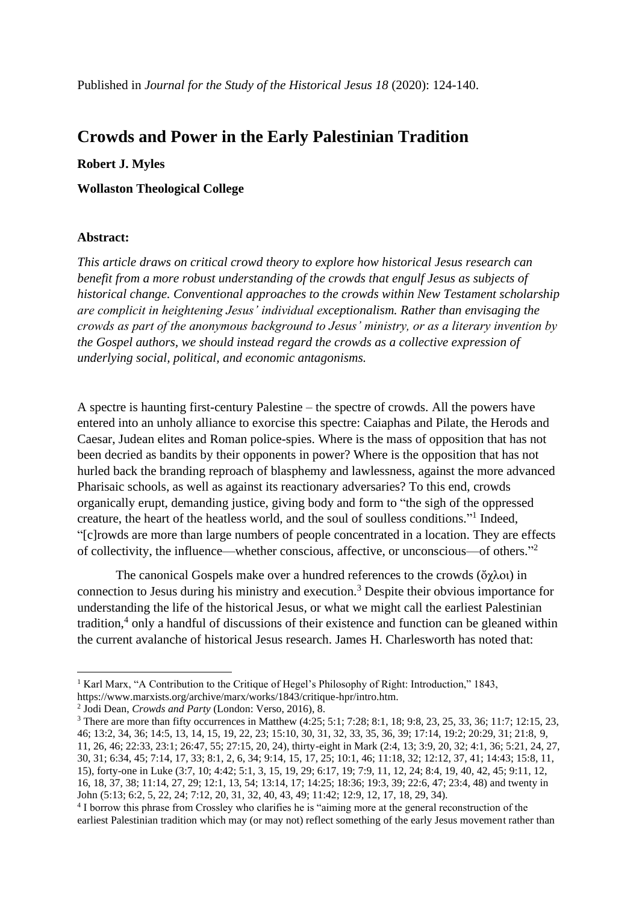Published in *Journal for the Study of the Historical Jesus 18* (2020): 124-140.

# **Crowds and Power in the Early Palestinian Tradition**

# **Robert J. Myles**

**Wollaston Theological College**

## **Abstract:**

*This article draws on critical crowd theory to explore how historical Jesus research can benefit from a more robust understanding of the crowds that engulf Jesus as subjects of historical change. Conventional approaches to the crowds within New Testament scholarship are complicit in heightening Jesus' individual exceptionalism. Rather than envisaging the crowds as part of the anonymous background to Jesus' ministry, or as a literary invention by the Gospel authors, we should instead regard the crowds as a collective expression of underlying social, political, and economic antagonisms.*

A spectre is haunting first-century Palestine – the spectre of crowds. All the powers have entered into an unholy alliance to exorcise this spectre: Caiaphas and Pilate, the Herods and Caesar, Judean elites and Roman police-spies. Where is the mass of opposition that has not been decried as bandits by their opponents in power? Where is the opposition that has not hurled back the branding reproach of blasphemy and lawlessness, against the more advanced Pharisaic schools, as well as against its reactionary adversaries? To this end, crowds organically erupt, demanding justice, giving body and form to "the sigh of the oppressed creature, the heart of the heatless world, and the soul of soulless conditions." 1 Indeed, "[c]rowds are more than large numbers of people concentrated in a location. They are effects of collectivity, the influence—whether conscious, affective, or unconscious—of others." 2

The canonical Gospels make over a hundred references to the crowds (ὄχλοι) in connection to Jesus during his ministry and execution.<sup>3</sup> Despite their obvious importance for understanding the life of the historical Jesus, or what we might call the earliest Palestinian tradition,<sup>4</sup> only a handful of discussions of their existence and function can be gleaned within the current avalanche of historical Jesus research. James H. Charlesworth has noted that:

<sup>&</sup>lt;sup>1</sup> Karl Marx, "A Contribution to the Critique of Hegel's Philosophy of Right: Introduction," 1843, https://www.marxists.org/archive/marx/works/1843/critique-hpr/intro.htm.

<sup>2</sup> Jodi Dean, *Crowds and Party* (London: Verso, 2016), 8.

<sup>&</sup>lt;sup>3</sup> There are more than fifty occurrences in Matthew (4:25; 5:1; 7:28; 8:1, 18; 9:8, 23, 25, 33, 36; 11:7; 12:15, 23, 46; 13:2, 34, 36; 14:5, 13, 14, 15, 19, 22, 23; 15:10, 30, 31, 32, 33, 35, 36, 39; 17:14, 19:2; 20:29, 31; 21:8, 9, 11, 26, 46; 22:33, 23:1; 26:47, 55; 27:15, 20, 24), thirty-eight in Mark (2:4, 13; 3:9, 20, 32; 4:1, 36; 5:21, 24, 27, 30, 31; 6:34, 45; 7:14, 17, 33; 8:1, 2, 6, 34; 9:14, 15, 17, 25; 10:1, 46; 11:18, 32; 12:12, 37, 41; 14:43; 15:8, 11, 15), forty-one in Luke (3:7, 10; 4:42; 5:1, 3, 15, 19, 29; 6:17, 19; 7:9, 11, 12, 24; 8:4, 19, 40, 42, 45; 9:11, 12, 16, 18, 37, 38; 11:14, 27, 29; 12:1, 13, 54; 13:14, 17; 14:25; 18:36; 19:3, 39; 22:6, 47; 23:4, 48) and twenty in John (5:13; 6:2, 5, 22, 24; 7:12, 20, 31, 32, 40, 43, 49; 11:42; 12:9, 12, 17, 18, 29, 34).

<sup>4</sup> I borrow this phrase from Crossley who clarifies he is "aiming more at the general reconstruction of the earliest Palestinian tradition which may (or may not) reflect something of the early Jesus movement rather than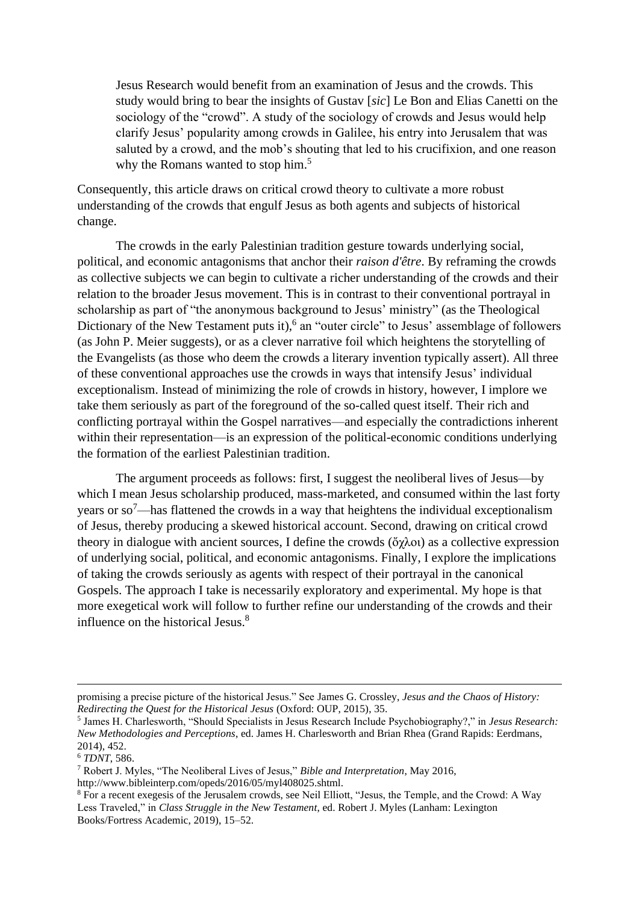Jesus Research would benefit from an examination of Jesus and the crowds. This study would bring to bear the insights of Gustav [*sic*] Le Bon and Elias Canetti on the sociology of the "crowd". A study of the sociology of crowds and Jesus would help clarify Jesus' popularity among crowds in Galilee, his entry into Jerusalem that was saluted by a crowd, and the mob's shouting that led to his crucifixion, and one reason why the Romans wanted to stop him.<sup>5</sup>

Consequently, this article draws on critical crowd theory to cultivate a more robust understanding of the crowds that engulf Jesus as both agents and subjects of historical change.

The crowds in the early Palestinian tradition gesture towards underlying social, political, and economic antagonisms that anchor their *raison d'être*. By reframing the crowds as collective subjects we can begin to cultivate a richer understanding of the crowds and their relation to the broader Jesus movement. This is in contrast to their conventional portrayal in scholarship as part of "the anonymous background to Jesus' ministry" (as the Theological Dictionary of the New Testament puts it),<sup>6</sup> an "outer circle" to Jesus' assemblage of followers (as John P. Meier suggests), or as a clever narrative foil which heightens the storytelling of the Evangelists (as those who deem the crowds a literary invention typically assert). All three of these conventional approaches use the crowds in ways that intensify Jesus' individual exceptionalism. Instead of minimizing the role of crowds in history, however, I implore we take them seriously as part of the foreground of the so-called quest itself. Their rich and conflicting portrayal within the Gospel narratives—and especially the contradictions inherent within their representation—is an expression of the political-economic conditions underlying the formation of the earliest Palestinian tradition.

The argument proceeds as follows: first, I suggest the neoliberal lives of Jesus—by which I mean Jesus scholarship produced, mass-marketed, and consumed within the last forty years or so<sup>7</sup>—has flattened the crowds in a way that heightens the individual exceptionalism of Jesus, thereby producing a skewed historical account. Second, drawing on critical crowd theory in dialogue with ancient sources, I define the crowds (ὄχλοι) as a collective expression of underlying social, political, and economic antagonisms. Finally, I explore the implications of taking the crowds seriously as agents with respect of their portrayal in the canonical Gospels. The approach I take is necessarily exploratory and experimental. My hope is that more exegetical work will follow to further refine our understanding of the crowds and their influence on the historical Jesus. 8

promising a precise picture of the historical Jesus." See James G. Crossley, *Jesus and the Chaos of History: Redirecting the Quest for the Historical Jesus* (Oxford: OUP, 2015), 35.

<sup>5</sup> James H. Charlesworth, "Should Specialists in Jesus Research Include Psychobiography?," in *Jesus Research: New Methodologies and Perceptions*, ed. James H. Charlesworth and Brian Rhea (Grand Rapids: Eerdmans, 2014), 452.

<sup>6</sup> *TDNT*, 586.

<sup>7</sup> Robert J. Myles, "The Neoliberal Lives of Jesus," *Bible and Interpretation*, May 2016, http://www.bibleinterp.com/opeds/2016/05/myl408025.shtml.

<sup>8</sup> For a recent exegesis of the Jerusalem crowds, see Neil Elliott, "Jesus, the Temple, and the Crowd: A Way Less Traveled," in *Class Struggle in the New Testament*, ed. Robert J. Myles (Lanham: Lexington Books/Fortress Academic, 2019), 15–52.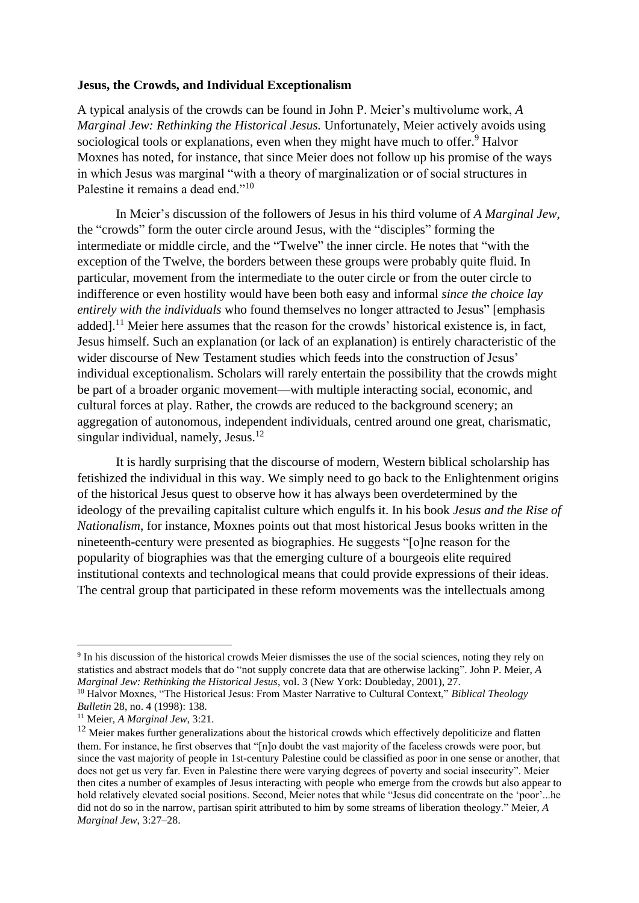## **Jesus, the Crowds, and Individual Exceptionalism**

A typical analysis of the crowds can be found in John P. Meier's multivolume work, *A Marginal Jew: Rethinking the Historical Jesus.* Unfortunately, Meier actively avoids using sociological tools or explanations, even when they might have much to offer.<sup>9</sup> Halvor Moxnes has noted, for instance, that since Meier does not follow up his promise of the ways in which Jesus was marginal "with a theory of marginalization or of social structures in Palestine it remains a dead end."<sup>10</sup>

In Meier's discussion of the followers of Jesus in his third volume of *A Marginal Jew*, the "crowds" form the outer circle around Jesus, with the "disciples" forming the intermediate or middle circle, and the "Twelve" the inner circle. He notes that "with the exception of the Twelve, the borders between these groups were probably quite fluid. In particular, movement from the intermediate to the outer circle or from the outer circle to indifference or even hostility would have been both easy and informal *since the choice lay entirely with the individuals* who found themselves no longer attracted to Jesus" [emphasis added].<sup>11</sup> Meier here assumes that the reason for the crowds' historical existence is, in fact, Jesus himself. Such an explanation (or lack of an explanation) is entirely characteristic of the wider discourse of New Testament studies which feeds into the construction of Jesus' individual exceptionalism. Scholars will rarely entertain the possibility that the crowds might be part of a broader organic movement—with multiple interacting social, economic, and cultural forces at play. Rather, the crowds are reduced to the background scenery; an aggregation of autonomous, independent individuals, centred around one great, charismatic, singular individual, namely, Jesus. 12

It is hardly surprising that the discourse of modern, Western biblical scholarship has fetishized the individual in this way. We simply need to go back to the Enlightenment origins of the historical Jesus quest to observe how it has always been overdetermined by the ideology of the prevailing capitalist culture which engulfs it. In his book *Jesus and the Rise of Nationalism*, for instance, Moxnes points out that most historical Jesus books written in the nineteenth-century were presented as biographies. He suggests "[o]ne reason for the popularity of biographies was that the emerging culture of a bourgeois elite required institutional contexts and technological means that could provide expressions of their ideas. The central group that participated in these reform movements was the intellectuals among

<sup>&</sup>lt;sup>9</sup> In his discussion of the historical crowds Meier dismisses the use of the social sciences, noting they rely on statistics and abstract models that do "not supply concrete data that are otherwise lacking". John P. Meier, *A Marginal Jew: Rethinking the Historical Jesus*, vol. 3 (New York: Doubleday, 2001), 27.

<sup>10</sup> Halvor Moxnes, "The Historical Jesus: From Master Narrative to Cultural Context," *Biblical Theology Bulletin* 28, no. 4 (1998): 138.

<sup>11</sup> Meier, *A Marginal Jew*, 3:21.

<sup>&</sup>lt;sup>12</sup> Meier makes further generalizations about the historical crowds which effectively depoliticize and flatten them. For instance, he first observes that "[n]o doubt the vast majority of the faceless crowds were poor, but since the vast majority of people in 1st-century Palestine could be classified as poor in one sense or another, that does not get us very far. Even in Palestine there were varying degrees of poverty and social insecurity". Meier then cites a number of examples of Jesus interacting with people who emerge from the crowds but also appear to hold relatively elevated social positions. Second, Meier notes that while "Jesus did concentrate on the 'poor'...he did not do so in the narrow, partisan spirit attributed to him by some streams of liberation theology." Meier, *A Marginal Jew*, 3:27–28.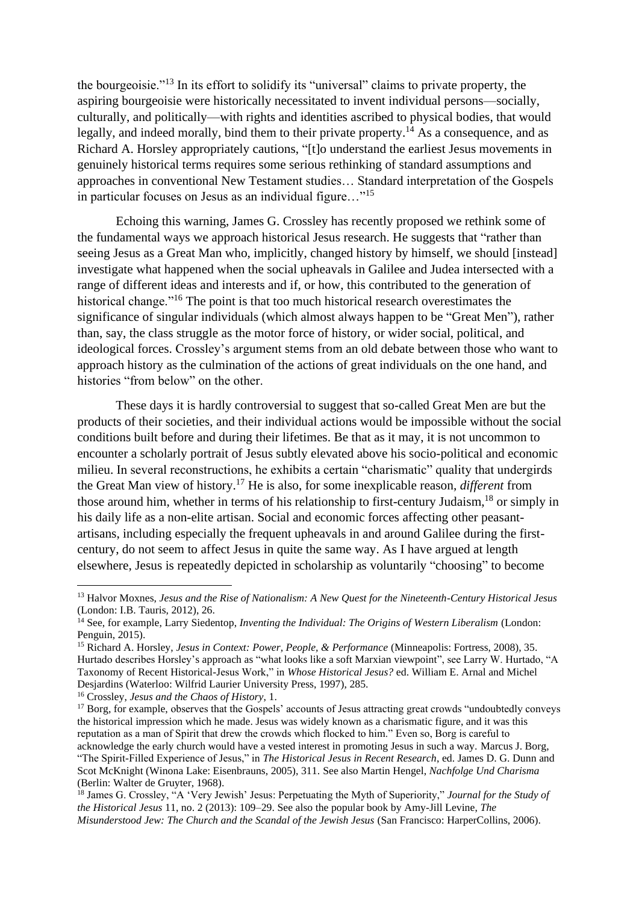the bourgeoisie."<sup>13</sup> In its effort to solidify its "universal" claims to private property, the aspiring bourgeoisie were historically necessitated to invent individual persons—socially, culturally, and politically—with rights and identities ascribed to physical bodies, that would legally, and indeed morally, bind them to their private property.<sup>14</sup> As a consequence, and as Richard A. Horsley appropriately cautions, "[t]o understand the earliest Jesus movements in genuinely historical terms requires some serious rethinking of standard assumptions and approaches in conventional New Testament studies… Standard interpretation of the Gospels in particular focuses on Jesus as an individual figure..."<sup>15</sup>

Echoing this warning, James G. Crossley has recently proposed we rethink some of the fundamental ways we approach historical Jesus research. He suggests that "rather than seeing Jesus as a Great Man who, implicitly, changed history by himself, we should [instead] investigate what happened when the social upheavals in Galilee and Judea intersected with a range of different ideas and interests and if, or how, this contributed to the generation of historical change.<sup>"16</sup> The point is that too much historical research overestimates the significance of singular individuals (which almost always happen to be "Great Men"), rather than, say, the class struggle as the motor force of history, or wider social, political, and ideological forces. Crossley's argument stems from an old debate between those who want to approach history as the culmination of the actions of great individuals on the one hand, and histories "from below" on the other.

These days it is hardly controversial to suggest that so-called Great Men are but the products of their societies, and their individual actions would be impossible without the social conditions built before and during their lifetimes. Be that as it may, it is not uncommon to encounter a scholarly portrait of Jesus subtly elevated above his socio-political and economic milieu. In several reconstructions, he exhibits a certain "charismatic" quality that undergirds the Great Man view of history.<sup>17</sup> He is also, for some inexplicable reason, *different* from those around him, whether in terms of his relationship to first-century Judaism, <sup>18</sup> or simply in his daily life as a non-elite artisan. Social and economic forces affecting other peasantartisans, including especially the frequent upheavals in and around Galilee during the firstcentury, do not seem to affect Jesus in quite the same way. As I have argued at length elsewhere, Jesus is repeatedly depicted in scholarship as voluntarily "choosing" to become

<sup>13</sup> Halvor Moxnes, *Jesus and the Rise of Nationalism: A New Quest for the Nineteenth-Century Historical Jesus* (London: I.B. Tauris, 2012), 26.

<sup>14</sup> See, for example, Larry Siedentop, *Inventing the Individual: The Origins of Western Liberalism* (London: Penguin, 2015).

<sup>15</sup> Richard A. Horsley, *Jesus in Context: Power, People, & Performance* (Minneapolis: Fortress, 2008), 35. Hurtado describes Horsley's approach as "what looks like a soft Marxian viewpoint", see Larry W. Hurtado, "A Taxonomy of Recent Historical-Jesus Work," in *Whose Historical Jesus?* ed. William E. Arnal and Michel Desjardins (Waterloo: Wilfrid Laurier University Press, 1997), 285.

<sup>16</sup> Crossley, *Jesus and the Chaos of History*, 1.

<sup>&</sup>lt;sup>17</sup> Borg, for example, observes that the Gospels' accounts of Jesus attracting great crowds "undoubtedly conveys" the historical impression which he made. Jesus was widely known as a charismatic figure, and it was this reputation as a man of Spirit that drew the crowds which flocked to him." Even so, Borg is careful to acknowledge the early church would have a vested interest in promoting Jesus in such a way. Marcus J. Borg, "The Spirit-Filled Experience of Jesus," in *The Historical Jesus in Recent Research*, ed. James D. G. Dunn and Scot McKnight (Winona Lake: Eisenbrauns, 2005), 311. See also Martin Hengel, *Nachfolge Und Charisma* (Berlin: Walter de Gruyter, 1968).

<sup>18</sup> James G. Crossley, "A 'Very Jewish' Jesus: Perpetuating the Myth of Superiority," *Journal for the Study of the Historical Jesus* 11, no. 2 (2013): 109–29. See also the popular book by Amy-Jill Levine, *The Misunderstood Jew: The Church and the Scandal of the Jewish Jesus* (San Francisco: HarperCollins, 2006).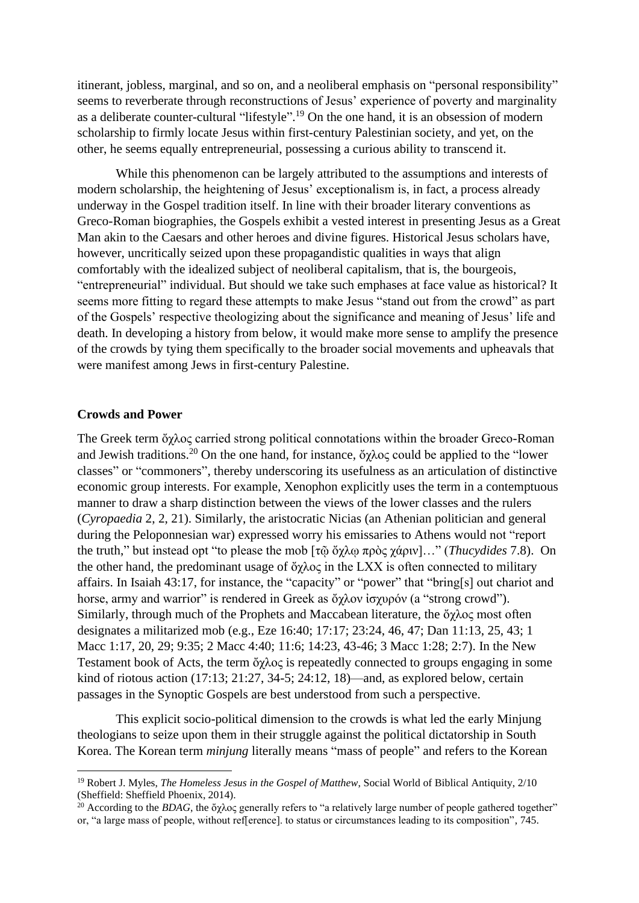itinerant, jobless, marginal, and so on, and a neoliberal emphasis on "personal responsibility" seems to reverberate through reconstructions of Jesus' experience of poverty and marginality as a deliberate counter-cultural "lifestyle".<sup>19</sup> On the one hand, it is an obsession of modern scholarship to firmly locate Jesus within first-century Palestinian society, and yet, on the other, he seems equally entrepreneurial, possessing a curious ability to transcend it.

While this phenomenon can be largely attributed to the assumptions and interests of modern scholarship, the heightening of Jesus' exceptionalism is, in fact, a process already underway in the Gospel tradition itself. In line with their broader literary conventions as Greco-Roman biographies, the Gospels exhibit a vested interest in presenting Jesus as a Great Man akin to the Caesars and other heroes and divine figures. Historical Jesus scholars have, however, uncritically seized upon these propagandistic qualities in ways that align comfortably with the idealized subject of neoliberal capitalism, that is, the bourgeois, "entrepreneurial" individual. But should we take such emphases at face value as historical? It seems more fitting to regard these attempts to make Jesus "stand out from the crowd" as part of the Gospels' respective theologizing about the significance and meaning of Jesus' life and death. In developing a history from below, it would make more sense to amplify the presence of the crowds by tying them specifically to the broader social movements and upheavals that were manifest among Jews in first-century Palestine.

#### **Crowds and Power**

The Greek term ὄχλος carried strong political connotations within the broader Greco-Roman and Jewish traditions.<sup>20</sup> On the one hand, for instance, ὄχλος could be applied to the "lower classes" or "commoners", thereby underscoring its usefulness as an articulation of distinctive economic group interests. For example, Xenophon explicitly uses the term in a contemptuous manner to draw a sharp distinction between the views of the lower classes and the rulers (*Cyropaedia* 2, 2, 21). Similarly, the aristocratic Nicias (an Athenian politician and general during the Peloponnesian war) expressed worry his emissaries to Athens would not "report the truth," but instead opt "to please the mob [τῷ ὄχλῳ πρὸς χάριν]…" (*Thucydides* 7.8). On the other hand, the predominant usage of  $\delta \chi \lambda o \varsigma$  in the LXX is often connected to military affairs. In Isaiah 43:17, for instance, the "capacity" or "power" that "bring[s] out chariot and horse, army and warrior" is rendered in Greek as ὄχλον ἰσχυρόν (a "strong crowd"). Similarly, through much of the Prophets and Maccabean literature, the ὄχλος most often designates a militarized mob (e.g., Eze 16:40; 17:17; 23:24, 46, 47; Dan 11:13, 25, 43; 1 Macc 1:17, 20, 29; 9:35; 2 Macc 4:40; 11:6; 14:23, 43-46; 3 Macc 1:28; 2:7). In the New Testament book of Acts, the term ὄχλος is repeatedly connected to groups engaging in some kind of riotous action (17:13; 21:27, 34-5; 24:12, 18)—and, as explored below, certain passages in the Synoptic Gospels are best understood from such a perspective.

This explicit socio-political dimension to the crowds is what led the early Minjung theologians to seize upon them in their struggle against the political dictatorship in South Korea. The Korean term *minjung* literally means "mass of people" and refers to the Korean

<sup>19</sup> Robert J. Myles, *The Homeless Jesus in the Gospel of Matthew*, Social World of Biblical Antiquity, 2/10 (Sheffield: Sheffield Phoenix, 2014).

<sup>&</sup>lt;sup>20</sup> According to the *BDAG*, the ὄχλος generally refers to "a relatively large number of people gathered together" or, "a large mass of people, without ref[erence]. to status or circumstances leading to its composition", 745.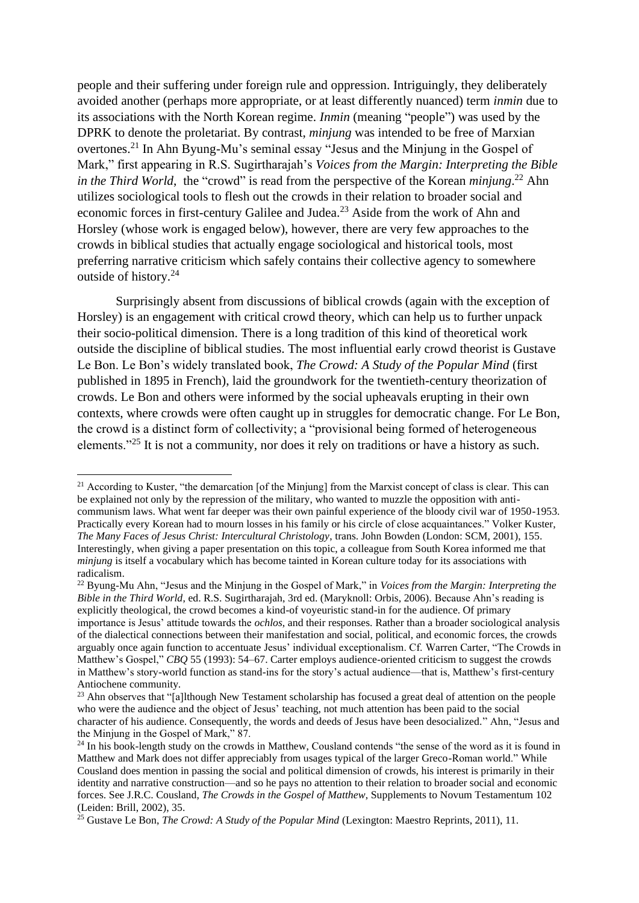people and their suffering under foreign rule and oppression. Intriguingly, they deliberately avoided another (perhaps more appropriate, or at least differently nuanced) term *inmin* due to its associations with the North Korean regime. *Inmin* (meaning "people") was used by the DPRK to denote the proletariat. By contrast, *minjung* was intended to be free of Marxian overtones.<sup>21</sup> In Ahn Byung-Mu's seminal essay "Jesus and the Minjung in the Gospel of Mark," first appearing in R.S. Sugirtharajah's *Voices from the Margin: Interpreting the Bible in the Third World*, the "crowd" is read from the perspective of the Korean *minjung*. <sup>22</sup> Ahn utilizes sociological tools to flesh out the crowds in their relation to broader social and economic forces in first-century Galilee and Judea.<sup>23</sup> Aside from the work of Ahn and Horsley (whose work is engaged below), however, there are very few approaches to the crowds in biblical studies that actually engage sociological and historical tools, most preferring narrative criticism which safely contains their collective agency to somewhere outside of history. 24

Surprisingly absent from discussions of biblical crowds (again with the exception of Horsley) is an engagement with critical crowd theory, which can help us to further unpack their socio-political dimension. There is a long tradition of this kind of theoretical work outside the discipline of biblical studies. The most influential early crowd theorist is Gustave Le Bon. Le Bon's widely translated book, *The Crowd: A Study of the Popular Mind* (first published in 1895 in French), laid the groundwork for the twentieth-century theorization of crowds. Le Bon and others were informed by the social upheavals erupting in their own contexts, where crowds were often caught up in struggles for democratic change. For Le Bon, the crowd is a distinct form of collectivity; a "provisional being formed of heterogeneous elements."<sup>25</sup> It is not a community, nor does it rely on traditions or have a history as such.

<sup>&</sup>lt;sup>21</sup> According to Kuster, "the demarcation [of the Minjung] from the Marxist concept of class is clear. This can be explained not only by the repression of the military, who wanted to muzzle the opposition with anticommunism laws. What went far deeper was their own painful experience of the bloody civil war of 1950-1953. Practically every Korean had to mourn losses in his family or his circle of close acquaintances." Volker Kuster, *The Many Faces of Jesus Christ: Intercultural Christology*, trans. John Bowden (London: SCM, 2001), 155. Interestingly, when giving a paper presentation on this topic, a colleague from South Korea informed me that *minjung* is itself a vocabulary which has become tainted in Korean culture today for its associations with radicalism.

<sup>22</sup> Byung-Mu Ahn, "Jesus and the Minjung in the Gospel of Mark," in *Voices from the Margin: Interpreting the Bible in the Third World*, ed. R.S. Sugirtharajah, 3rd ed. (Maryknoll: Orbis, 2006). Because Ahn's reading is explicitly theological, the crowd becomes a kind-of voyeuristic stand-in for the audience. Of primary importance is Jesus' attitude towards the *ochlos*, and their responses. Rather than a broader sociological analysis of the dialectical connections between their manifestation and social, political, and economic forces, the crowds arguably once again function to accentuate Jesus' individual exceptionalism. Cf. Warren Carter, "The Crowds in Matthew's Gospel," *CBQ* 55 (1993): 54–67. Carter employs audience-oriented criticism to suggest the crowds in Matthew's story-world function as stand-ins for the story's actual audience—that is, Matthew's first-century Antiochene community.

<sup>&</sup>lt;sup>23</sup> Ahn observes that "[a]lthough New Testament scholarship has focused a great deal of attention on the people who were the audience and the object of Jesus' teaching, not much attention has been paid to the social character of his audience. Consequently, the words and deeds of Jesus have been desocialized." Ahn, "Jesus and the Minjung in the Gospel of Mark," 87.

 $^{24}$  In his book-length study on the crowds in Matthew, Cousland contends "the sense of the word as it is found in Matthew and Mark does not differ appreciably from usages typical of the larger Greco-Roman world." While Cousland does mention in passing the social and political dimension of crowds, his interest is primarily in their identity and narrative construction—and so he pays no attention to their relation to broader social and economic forces. See J.R.C. Cousland, *The Crowds in the Gospel of Matthew*, Supplements to Novum Testamentum 102 (Leiden: Brill, 2002), 35.

<sup>25</sup> Gustave Le Bon, *The Crowd: A Study of the Popular Mind* (Lexington: Maestro Reprints, 2011), 11.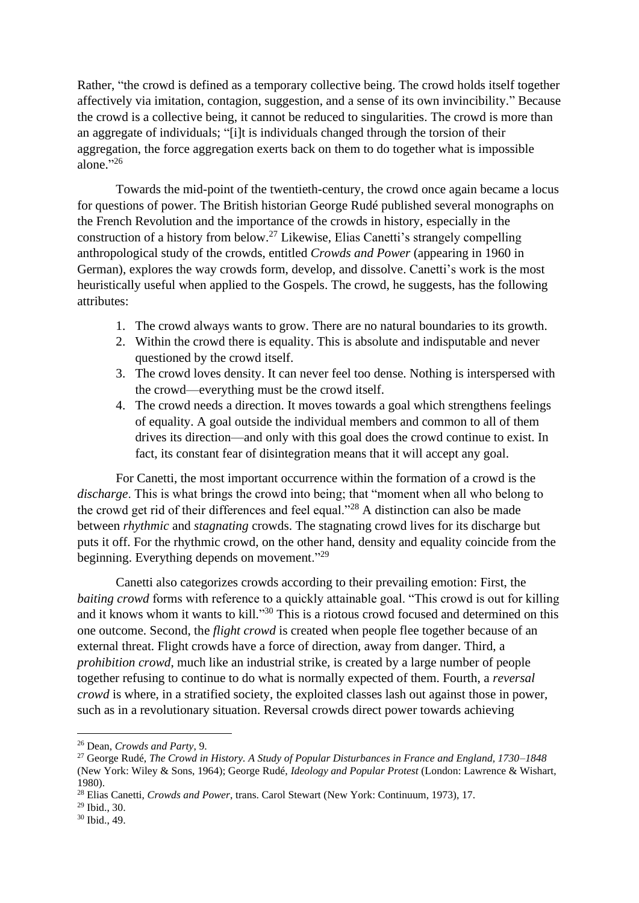Rather, "the crowd is defined as a temporary collective being. The crowd holds itself together affectively via imitation, contagion, suggestion, and a sense of its own invincibility." Because the crowd is a collective being, it cannot be reduced to singularities. The crowd is more than an aggregate of individuals; "[i]t is individuals changed through the torsion of their aggregation, the force aggregation exerts back on them to do together what is impossible alone." 26

Towards the mid-point of the twentieth-century, the crowd once again became a locus for questions of power. The British historian George Rudé published several monographs on the French Revolution and the importance of the crowds in history, especially in the construction of a history from below.<sup>27</sup> Likewise, Elias Canetti's strangely compelling anthropological study of the crowds, entitled *Crowds and Power* (appearing in 1960 in German), explores the way crowds form, develop, and dissolve. Canetti's work is the most heuristically useful when applied to the Gospels. The crowd, he suggests, has the following attributes:

- 1. The crowd always wants to grow. There are no natural boundaries to its growth.
- 2. Within the crowd there is equality. This is absolute and indisputable and never questioned by the crowd itself.
- 3. The crowd loves density. It can never feel too dense. Nothing is interspersed with the crowd—everything must be the crowd itself.
- 4. The crowd needs a direction. It moves towards a goal which strengthens feelings of equality. A goal outside the individual members and common to all of them drives its direction—and only with this goal does the crowd continue to exist. In fact, its constant fear of disintegration means that it will accept any goal.

For Canetti, the most important occurrence within the formation of a crowd is the *discharge*. This is what brings the crowd into being; that "moment when all who belong to the crowd get rid of their differences and feel equal."<sup>28</sup> A distinction can also be made between *rhythmic* and *stagnating* crowds. The stagnating crowd lives for its discharge but puts it off. For the rhythmic crowd, on the other hand, density and equality coincide from the beginning. Everything depends on movement."<sup>29</sup>

Canetti also categorizes crowds according to their prevailing emotion: First, the *baiting crowd* forms with reference to a quickly attainable goal. "This crowd is out for killing and it knows whom it wants to kill."<sup>30</sup> This is a riotous crowd focused and determined on this one outcome. Second, the *flight crowd* is created when people flee together because of an external threat. Flight crowds have a force of direction, away from danger. Third, a *prohibition crowd*, much like an industrial strike, is created by a large number of people together refusing to continue to do what is normally expected of them. Fourth, a *reversal crowd* is where, in a stratified society, the exploited classes lash out against those in power, such as in a revolutionary situation. Reversal crowds direct power towards achieving

<sup>26</sup> Dean, *Crowds and Party*, 9.

<sup>27</sup> George Rudé, *The Crowd in History. A Study of Popular Disturbances in France and England, 1730–1848* (New York: Wiley & Sons, 1964); George Rudé, *Ideology and Popular Protest* (London: Lawrence & Wishart, 1980).

<sup>28</sup> Elias Canetti, *Crowds and Power*, trans. Carol Stewart (New York: Continuum, 1973), 17.

 $29$  Ibid., 30.

<sup>30</sup> Ibid., 49.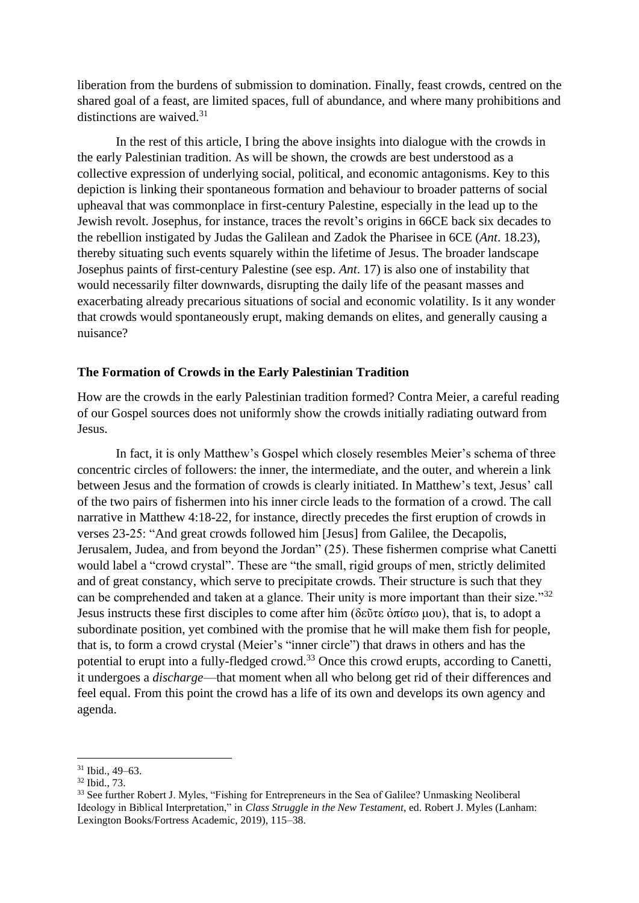liberation from the burdens of submission to domination. Finally, feast crowds, centred on the shared goal of a feast, are limited spaces, full of abundance, and where many prohibitions and distinctions are waived.<sup>31</sup>

In the rest of this article, I bring the above insights into dialogue with the crowds in the early Palestinian tradition. As will be shown, the crowds are best understood as a collective expression of underlying social, political, and economic antagonisms. Key to this depiction is linking their spontaneous formation and behaviour to broader patterns of social upheaval that was commonplace in first-century Palestine, especially in the lead up to the Jewish revolt. Josephus, for instance, traces the revolt's origins in 66CE back six decades to the rebellion instigated by Judas the Galilean and Zadok the Pharisee in 6CE (*Ant*. 18.23), thereby situating such events squarely within the lifetime of Jesus. The broader landscape Josephus paints of first-century Palestine (see esp. *Ant*. 17) is also one of instability that would necessarily filter downwards, disrupting the daily life of the peasant masses and exacerbating already precarious situations of social and economic volatility. Is it any wonder that crowds would spontaneously erupt, making demands on elites, and generally causing a nuisance?

## **The Formation of Crowds in the Early Palestinian Tradition**

How are the crowds in the early Palestinian tradition formed? Contra Meier, a careful reading of our Gospel sources does not uniformly show the crowds initially radiating outward from Jesus.

In fact, it is only Matthew's Gospel which closely resembles Meier's schema of three concentric circles of followers: the inner, the intermediate, and the outer, and wherein a link between Jesus and the formation of crowds is clearly initiated. In Matthew's text, Jesus' call of the two pairs of fishermen into his inner circle leads to the formation of a crowd. The call narrative in Matthew 4:18-22, for instance, directly precedes the first eruption of crowds in verses 23-25: "And great crowds followed him [Jesus] from Galilee, the Decapolis, Jerusalem, Judea, and from beyond the Jordan" (25). These fishermen comprise what Canetti would label a "crowd crystal". These are "the small, rigid groups of men, strictly delimited and of great constancy, which serve to precipitate crowds. Their structure is such that they can be comprehended and taken at a glance. Their unity is more important than their size."<sup>32</sup> Jesus instructs these first disciples to come after him (δεῦτε ὀπίσω μου), that is, to adopt a subordinate position, yet combined with the promise that he will make them fish for people, that is, to form a crowd crystal (Meier's "inner circle") that draws in others and has the potential to erupt into a fully-fledged crowd.<sup>33</sup> Once this crowd erupts, according to Canetti, it undergoes a *discharge*—that moment when all who belong get rid of their differences and feel equal. From this point the crowd has a life of its own and develops its own agency and agenda.

<sup>31</sup> Ibid., 49–63.

<sup>32</sup> Ibid., 73.

<sup>33</sup> See further Robert J. Myles, "Fishing for Entrepreneurs in the Sea of Galilee? Unmasking Neoliberal Ideology in Biblical Interpretation," in *Class Struggle in the New Testament*, ed. Robert J. Myles (Lanham: Lexington Books/Fortress Academic, 2019), 115–38.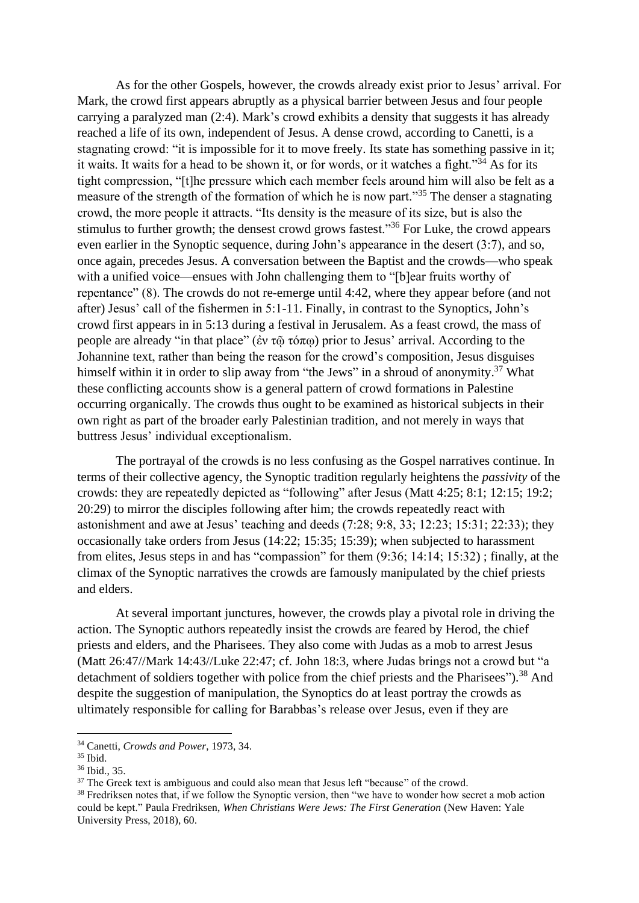As for the other Gospels, however, the crowds already exist prior to Jesus' arrival. For Mark, the crowd first appears abruptly as a physical barrier between Jesus and four people carrying a paralyzed man (2:4). Mark's crowd exhibits a density that suggests it has already reached a life of its own, independent of Jesus. A dense crowd, according to Canetti, is a stagnating crowd: "it is impossible for it to move freely. Its state has something passive in it; it waits. It waits for a head to be shown it, or for words, or it watches a fight."<sup>34</sup> As for its tight compression, "[t]he pressure which each member feels around him will also be felt as a measure of the strength of the formation of which he is now part."<sup>35</sup> The denser a stagnating crowd, the more people it attracts. "Its density is the measure of its size, but is also the stimulus to further growth; the densest crowd grows fastest."<sup>36</sup> For Luke, the crowd appears even earlier in the Synoptic sequence, during John's appearance in the desert (3:7), and so, once again, precedes Jesus. A conversation between the Baptist and the crowds—who speak with a unified voice—ensues with John challenging them to "[b]ear fruits worthy of repentance" (8). The crowds do not re-emerge until 4:42, where they appear before (and not after) Jesus' call of the fishermen in 5:1-11. Finally, in contrast to the Synoptics, John's crowd first appears in in 5:13 during a festival in Jerusalem. As a feast crowd, the mass of people are already "in that place" (ἐν τῷ τόπῳ) prior to Jesus' arrival. According to the Johannine text, rather than being the reason for the crowd's composition, Jesus disguises himself within it in order to slip away from "the Jews" in a shroud of anonymity.<sup>37</sup> What these conflicting accounts show is a general pattern of crowd formations in Palestine occurring organically. The crowds thus ought to be examined as historical subjects in their own right as part of the broader early Palestinian tradition, and not merely in ways that buttress Jesus' individual exceptionalism.

The portrayal of the crowds is no less confusing as the Gospel narratives continue. In terms of their collective agency, the Synoptic tradition regularly heightens the *passivity* of the crowds: they are repeatedly depicted as "following" after Jesus (Matt 4:25; 8:1; 12:15; 19:2; 20:29) to mirror the disciples following after him; the crowds repeatedly react with astonishment and awe at Jesus' teaching and deeds (7:28; 9:8, 33; 12:23; 15:31; 22:33); they occasionally take orders from Jesus (14:22; 15:35; 15:39); when subjected to harassment from elites, Jesus steps in and has "compassion" for them (9:36; 14:14; 15:32) ; finally, at the climax of the Synoptic narratives the crowds are famously manipulated by the chief priests and elders.

At several important junctures, however, the crowds play a pivotal role in driving the action. The Synoptic authors repeatedly insist the crowds are feared by Herod, the chief priests and elders, and the Pharisees. They also come with Judas as a mob to arrest Jesus (Matt 26:47//Mark 14:43//Luke 22:47; cf. John 18:3, where Judas brings not a crowd but "a detachment of soldiers together with police from the chief priests and the Pharisees").<sup>38</sup> And despite the suggestion of manipulation, the Synoptics do at least portray the crowds as ultimately responsible for calling for Barabbas's release over Jesus, even if they are

<sup>34</sup> Canetti, *Crowds and Power*, 1973, 34.

<sup>35</sup> Ibid.

<sup>36</sup> Ibid., 35.

<sup>&</sup>lt;sup>37</sup> The Greek text is ambiguous and could also mean that Jesus left "because" of the crowd.

<sup>&</sup>lt;sup>38</sup> Fredriksen notes that, if we follow the Synoptic version, then "we have to wonder how secret a mob action could be kept." Paula Fredriksen, *When Christians Were Jews: The First Generation* (New Haven: Yale University Press, 2018), 60.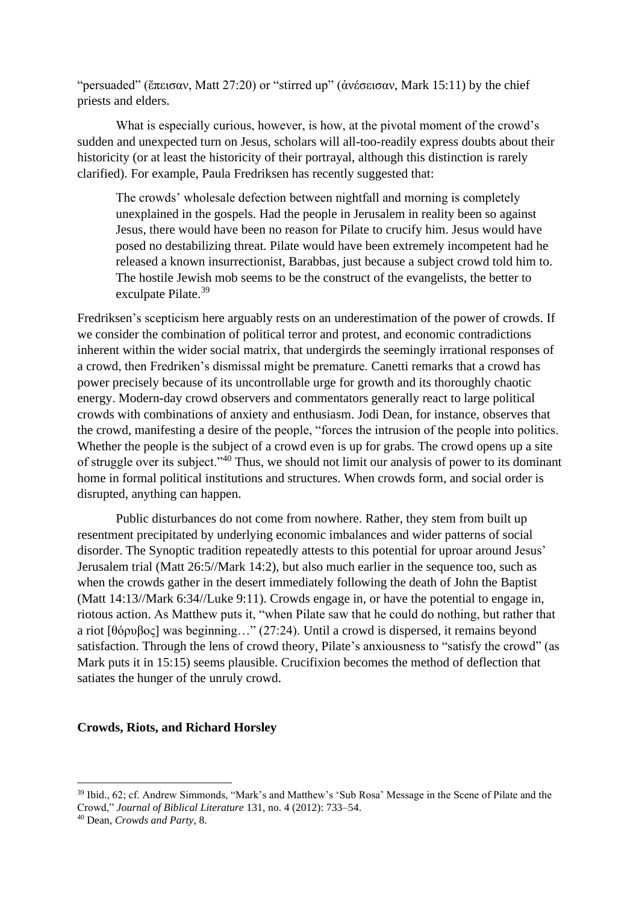"persuaded" (ἔπεισαν, Matt 27:20) or "stirred up" (ἀνέσεισαν, Mark 15:11) by the chief priests and elders.

What is especially curious, however, is how, at the pivotal moment of the crowd's sudden and unexpected turn on Jesus, scholars will all-too-readily express doubts about their historicity (or at least the historicity of their portrayal, although this distinction is rarely clarified). For example, Paula Fredriksen has recently suggested that:

The crowds' wholesale defection between nightfall and morning is completely unexplained in the gospels. Had the people in Jerusalem in reality been so against Jesus, there would have been no reason for Pilate to crucify him. Jesus would have posed no destabilizing threat. Pilate would have been extremely incompetent had he released a known insurrectionist, Barabbas, just because a subject crowd told him to. The hostile Jewish mob seems to be the construct of the evangelists, the better to exculpate Pilate.<sup>39</sup>

Fredriksen's scepticism here arguably rests on an underestimation of the power of crowds. If we consider the combination of political terror and protest, and economic contradictions inherent within the wider social matrix, that undergirds the seemingly irrational responses of a crowd, then Fredriken's dismissal might be premature. Canetti remarks that a crowd has power precisely because of its uncontrollable urge for growth and its thoroughly chaotic energy. Modern-day crowd observers and commentators generally react to large political crowds with combinations of anxiety and enthusiasm. Jodi Dean, for instance, observes that the crowd, manifesting a desire of the people, "forces the intrusion of the people into politics. Whether the people is the subject of a crowd even is up for grabs. The crowd opens up a site of struggle over its subject."<sup>40</sup> Thus, we should not limit our analysis of power to its dominant home in formal political institutions and structures. When crowds form, and social order is disrupted, anything can happen.

Public disturbances do not come from nowhere. Rather, they stem from built up resentment precipitated by underlying economic imbalances and wider patterns of social disorder. The Synoptic tradition repeatedly attests to this potential for uproar around Jesus' Jerusalem trial (Matt 26:5//Mark 14:2), but also much earlier in the sequence too, such as when the crowds gather in the desert immediately following the death of John the Baptist (Matt 14:13//Mark 6:34//Luke 9:11). Crowds engage in, or have the potential to engage in, riotous action. As Matthew puts it, "when Pilate saw that he could do nothing, but rather that a riot [θόρυβος] was beginning…" (27:24). Until a crowd is dispersed, it remains beyond satisfaction. Through the lens of crowd theory, Pilate's anxiousness to "satisfy the crowd" (as Mark puts it in 15:15) seems plausible. Crucifixion becomes the method of deflection that satiates the hunger of the unruly crowd.

# **Crowds, Riots, and Richard Horsley**

<sup>39</sup> Ibid., 62; cf. Andrew Simmonds, "Mark's and Matthew's 'Sub Rosa' Message in the Scene of Pilate and the Crowd," *Journal of Biblical Literature* 131, no. 4 (2012): 733–54.

<sup>40</sup> Dean, *Crowds and Party*, 8.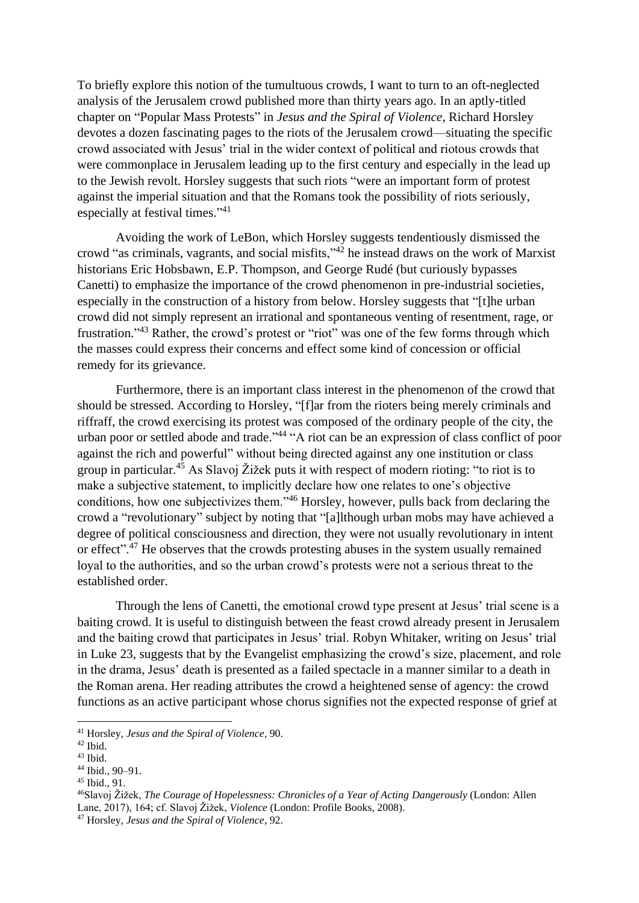To briefly explore this notion of the tumultuous crowds, I want to turn to an oft-neglected analysis of the Jerusalem crowd published more than thirty years ago. In an aptly-titled chapter on "Popular Mass Protests" in *Jesus and the Spiral of Violence*, Richard Horsley devotes a dozen fascinating pages to the riots of the Jerusalem crowd—situating the specific crowd associated with Jesus' trial in the wider context of political and riotous crowds that were commonplace in Jerusalem leading up to the first century and especially in the lead up to the Jewish revolt. Horsley suggests that such riots "were an important form of protest against the imperial situation and that the Romans took the possibility of riots seriously, especially at festival times."<sup>41</sup>

Avoiding the work of LeBon, which Horsley suggests tendentiously dismissed the crowd "as criminals, vagrants, and social misfits,"<sup>42</sup> he instead draws on the work of Marxist historians Eric Hobsbawn, E.P. Thompson, and George Rudé (but curiously bypasses Canetti) to emphasize the importance of the crowd phenomenon in pre-industrial societies, especially in the construction of a history from below. Horsley suggests that "[t]he urban crowd did not simply represent an irrational and spontaneous venting of resentment, rage, or frustration."<sup>43</sup> Rather, the crowd's protest or "riot" was one of the few forms through which the masses could express their concerns and effect some kind of concession or official remedy for its grievance.

Furthermore, there is an important class interest in the phenomenon of the crowd that should be stressed. According to Horsley, "[f]ar from the rioters being merely criminals and riffraff, the crowd exercising its protest was composed of the ordinary people of the city, the urban poor or settled abode and trade." <sup>44</sup> "A riot can be an expression of class conflict of poor against the rich and powerful" without being directed against any one institution or class group in particular.<sup>45</sup> As Slavoj Žižek puts it with respect of modern rioting: "to riot is to make a subjective statement, to implicitly declare how one relates to one's objective conditions, how one subjectivizes them."<sup>46</sup> Horsley, however, pulls back from declaring the crowd a "revolutionary" subject by noting that "[a]lthough urban mobs may have achieved a degree of political consciousness and direction, they were not usually revolutionary in intent or effect".<sup>47</sup> He observes that the crowds protesting abuses in the system usually remained loyal to the authorities, and so the urban crowd's protests were not a serious threat to the established order.

Through the lens of Canetti, the emotional crowd type present at Jesus' trial scene is a baiting crowd. It is useful to distinguish between the feast crowd already present in Jerusalem and the baiting crowd that participates in Jesus' trial. Robyn Whitaker, writing on Jesus' trial in Luke 23, suggests that by the Evangelist emphasizing the crowd's size, placement, and role in the drama, Jesus' death is presented as a failed spectacle in a manner similar to a death in the Roman arena. Her reading attributes the crowd a heightened sense of agency: the crowd functions as an active participant whose chorus signifies not the expected response of grief at

<sup>45</sup> Ibid., 91.

<sup>41</sup> Horsley, *Jesus and the Spiral of Violence*, 90.

 $^{42}$  Ibid.

<sup>43</sup> Ibid.

<sup>44</sup> Ibid., 90–91.

<sup>46</sup>Slavoj Žižek, *The Courage of Hopelessness: Chronicles of a Year of Acting Dangerously* (London: Allen Lane, 2017), 164; cf. Slavoj Žižek, *Violence* (London: Profile Books, 2008).

<sup>47</sup> Horsley, *Jesus and the Spiral of Violence*, 92.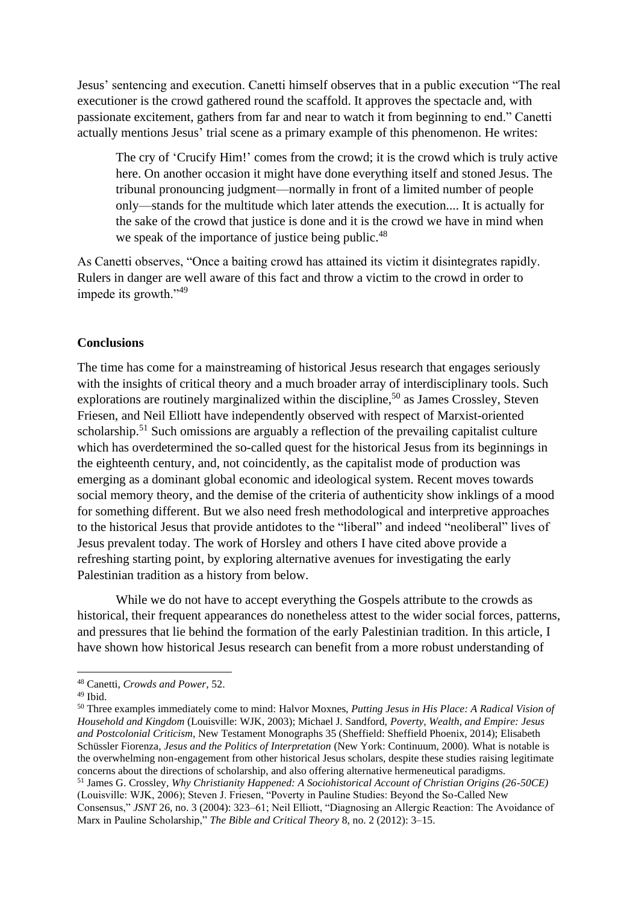Jesus' sentencing and execution. Canetti himself observes that in a public execution "The real executioner is the crowd gathered round the scaffold. It approves the spectacle and, with passionate excitement, gathers from far and near to watch it from beginning to end." Canetti actually mentions Jesus' trial scene as a primary example of this phenomenon. He writes:

The cry of 'Crucify Him!' comes from the crowd; it is the crowd which is truly active here. On another occasion it might have done everything itself and stoned Jesus. The tribunal pronouncing judgment—normally in front of a limited number of people only—stands for the multitude which later attends the execution.... It is actually for the sake of the crowd that justice is done and it is the crowd we have in mind when we speak of the importance of justice being public.<sup>48</sup>

As Canetti observes, "Once a baiting crowd has attained its victim it disintegrates rapidly. Rulers in danger are well aware of this fact and throw a victim to the crowd in order to impede its growth."<sup>49</sup>

#### **Conclusions**

The time has come for a mainstreaming of historical Jesus research that engages seriously with the insights of critical theory and a much broader array of interdisciplinary tools. Such explorations are routinely marginalized within the discipline,<sup>50</sup> as James Crossley, Steven Friesen, and Neil Elliott have independently observed with respect of Marxist-oriented scholarship.<sup>51</sup> Such omissions are arguably a reflection of the prevailing capitalist culture which has overdetermined the so-called quest for the historical Jesus from its beginnings in the eighteenth century, and, not coincidently, as the capitalist mode of production was emerging as a dominant global economic and ideological system. Recent moves towards social memory theory, and the demise of the criteria of authenticity show inklings of a mood for something different. But we also need fresh methodological and interpretive approaches to the historical Jesus that provide antidotes to the "liberal" and indeed "neoliberal" lives of Jesus prevalent today. The work of Horsley and others I have cited above provide a refreshing starting point, by exploring alternative avenues for investigating the early Palestinian tradition as a history from below.

While we do not have to accept everything the Gospels attribute to the crowds as historical, their frequent appearances do nonetheless attest to the wider social forces, patterns, and pressures that lie behind the formation of the early Palestinian tradition. In this article, I have shown how historical Jesus research can benefit from a more robust understanding of

<sup>48</sup> Canetti, *Crowds and Power*, 52.

<sup>49</sup> Ibid.

<sup>50</sup> Three examples immediately come to mind: Halvor Moxnes, *Putting Jesus in His Place: A Radical Vision of Household and Kingdom* (Louisville: WJK, 2003); Michael J. Sandford, *Poverty, Wealth, and Empire: Jesus and Postcolonial Criticism*, New Testament Monographs 35 (Sheffield: Sheffield Phoenix, 2014); Elisabeth Schüssler Fiorenza, *Jesus and the Politics of Interpretation* (New York: Continuum, 2000). What is notable is the overwhelming non-engagement from other historical Jesus scholars, despite these studies raising legitimate concerns about the directions of scholarship, and also offering alternative hermeneutical paradigms.

<sup>51</sup> James G. Crossley, *Why Christianity Happened: A Sociohistorical Account of Christian Origins (26-50CE)* (Louisville: WJK, 2006); Steven J. Friesen, "Poverty in Pauline Studies: Beyond the So-Called New Consensus," *JSNT* 26, no. 3 (2004): 323–61; Neil Elliott, "Diagnosing an Allergic Reaction: The Avoidance of Marx in Pauline Scholarship," *The Bible and Critical Theory* 8, no. 2 (2012): 3–15.